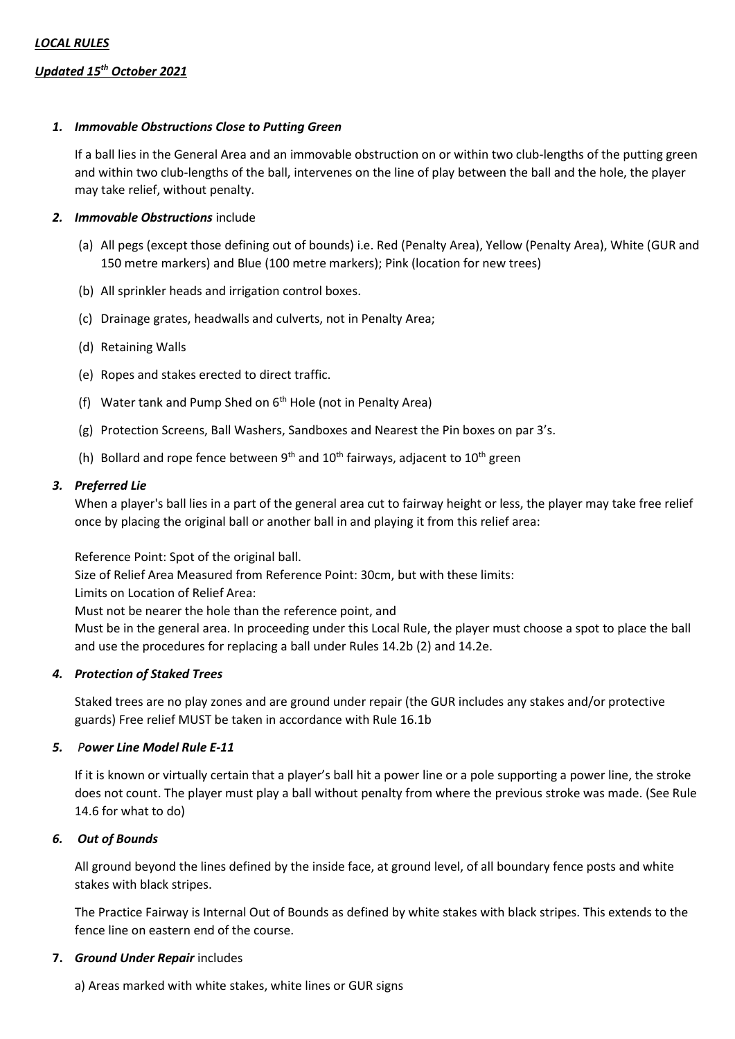# *Updated 15th October 2021*

### *1. Immovable Obstructions Close to Putting Green*

If a ball lies in the General Area and an immovable obstruction on or within two club-lengths of the putting green and within two club-lengths of the ball, intervenes on the line of play between the ball and the hole, the player may take relief, without penalty.

#### *2. Immovable Obstructions* include

- (a) All pegs (except those defining out of bounds) i.e. Red (Penalty Area), Yellow (Penalty Area), White (GUR and 150 metre markers) and Blue (100 metre markers); Pink (location for new trees)
- (b) All sprinkler heads and irrigation control boxes.
- (c) Drainage grates, headwalls and culverts, not in Penalty Area;
- (d) Retaining Walls
- (e) Ropes and stakes erected to direct traffic.
- (f) Water tank and Pump Shed on  $6<sup>th</sup>$  Hole (not in Penalty Area)
- (g) Protection Screens, Ball Washers, Sandboxes and Nearest the Pin boxes on par 3's.
- (h) Bollard and rope fence between  $9<sup>th</sup>$  and  $10<sup>th</sup>$  fairways, adjacent to  $10<sup>th</sup>$  green

#### *3. Preferred Lie*

When a player's ball lies in a part of the general area cut to fairway height or less, the player may take free relief once by placing the original ball or another ball in and playing it from this relief area:

Reference Point: Spot of the original ball.

Size of Relief Area Measured from Reference Point: 30cm, but with these limits:

Limits on Location of Relief Area:

Must not be nearer the hole than the reference point, and

Must be in the general area. In proceeding under this Local Rule, the player must choose a spot to place the ball and use the procedures for replacing a ball under Rules 14.2b (2) and 14.2e.

# *4. Protection of Staked Trees*

Staked trees are no play zones and are ground under repair (the GUR includes any stakes and/or protective guards) Free relief MUST be taken in accordance with Rule 16.1b

#### *5. Power Line Model Rule E-11*

If it is known or virtually certain that a player's ball hit a power line or a pole supporting a power line, the stroke does not count. The player must play a ball without penalty from where the previous stroke was made. (See Rule 14.6 for what to do)

# *6. Out of Bounds*

All ground beyond the lines defined by the inside face, at ground level, of all boundary fence posts and white stakes with black stripes.

The Practice Fairway is Internal Out of Bounds as defined by white stakes with black stripes. This extends to the fence line on eastern end of the course.

#### **7.** *Ground Under Repair* includes

a) Areas marked with white stakes, white lines or GUR signs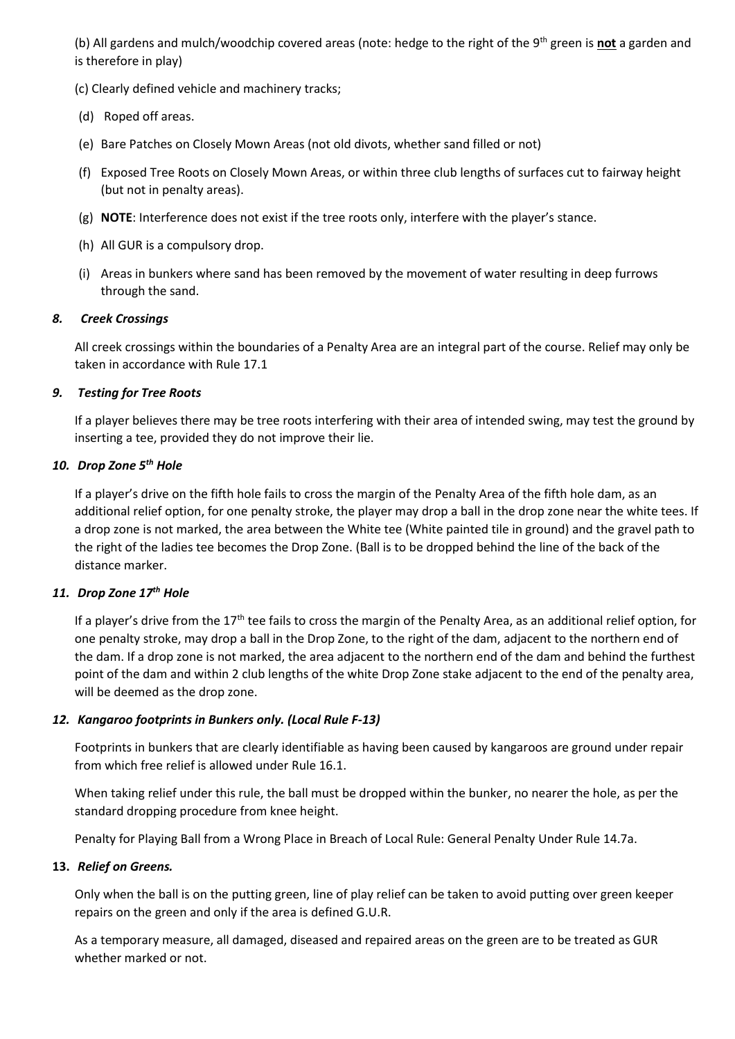(b) All gardens and mulch/woodchip covered areas (note: hedge to the right of the 9th green is **not** a garden and is therefore in play)

(c) Clearly defined vehicle and machinery tracks;

- (d) Roped off areas.
- (e) Bare Patches on Closely Mown Areas (not old divots, whether sand filled or not)
- (f) Exposed Tree Roots on Closely Mown Areas, or within three club lengths of surfaces cut to fairway height (but not in penalty areas).
- (g) **NOTE**: Interference does not exist if the tree roots only, interfere with the player's stance.
- (h) All GUR is a compulsory drop.
- (i) Areas in bunkers where sand has been removed by the movement of water resulting in deep furrows through the sand.

# *8. Creek Crossings*

All creek crossings within the boundaries of a Penalty Area are an integral part of the course. Relief may only be taken in accordance with Rule 17.1

# *9. Testing for Tree Roots*

If a player believes there may be tree roots interfering with their area of intended swing, may test the ground by inserting a tee, provided they do not improve their lie.

# *10. Drop Zone 5th Hole*

If a player's drive on the fifth hole fails to cross the margin of the Penalty Area of the fifth hole dam, as an additional relief option, for one penalty stroke, the player may drop a ball in the drop zone near the white tees. If a drop zone is not marked, the area between the White tee (White painted tile in ground) and the gravel path to the right of the ladies tee becomes the Drop Zone. (Ball is to be dropped behind the line of the back of the distance marker.

# *11. Drop Zone 17th Hole*

If a player's drive from the 17<sup>th</sup> tee fails to cross the margin of the Penalty Area, as an additional relief option, for one penalty stroke, may drop a ball in the Drop Zone, to the right of the dam, adjacent to the northern end of the dam. If a drop zone is not marked, the area adjacent to the northern end of the dam and behind the furthest point of the dam and within 2 club lengths of the white Drop Zone stake adjacent to the end of the penalty area, will be deemed as the drop zone.

# *12. Kangaroo footprints in Bunkers only. (Local Rule F-13)*

Footprints in bunkers that are clearly identifiable as having been caused by kangaroos are ground under repair from which free relief is allowed under Rule 16.1.

When taking relief under this rule, the ball must be dropped within the bunker, no nearer the hole, as per the standard dropping procedure from knee height.

Penalty for Playing Ball from a Wrong Place in Breach of Local Rule: General Penalty Under Rule 14.7a.

# **13.** *Relief on Greens.*

Only when the ball is on the putting green, line of play relief can be taken to avoid putting over green keeper repairs on the green and only if the area is defined G.U.R.

As a temporary measure, all damaged, diseased and repaired areas on the green are to be treated as GUR whether marked or not.